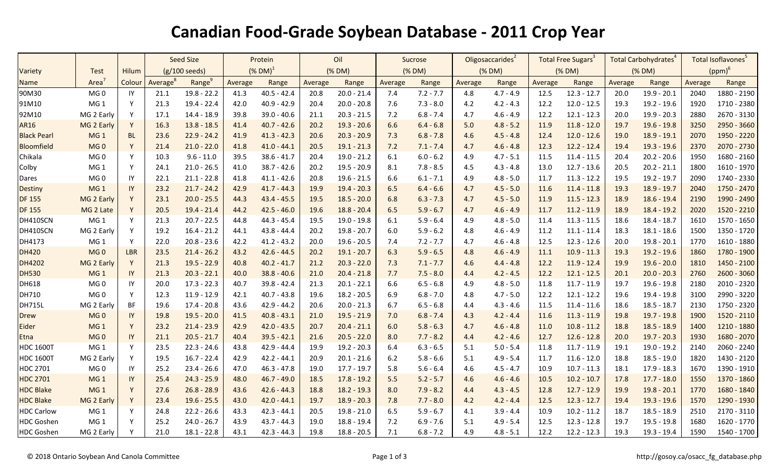## **Canadian Food-Grade Soybean Database - 2011 Crop Year**

|                    |                 |              | <b>Seed Size</b>        |                    | Protein       |               | Oil     |               | Sucrose |             | Oligosaccarides <sup>2</sup> |             | Total Free Sugars <sup>3</sup> |               | Total Carbohydrates <sup>4</sup> |               | Total Isoflavones <sup>5</sup> |               |
|--------------------|-----------------|--------------|-------------------------|--------------------|---------------|---------------|---------|---------------|---------|-------------|------------------------------|-------------|--------------------------------|---------------|----------------------------------|---------------|--------------------------------|---------------|
| Variety            | Test            | Hilum        | $(g/100 \text{ seeds})$ |                    | $(X$ DM $)^1$ |               | (% DM)  |               | (% DM)  |             | (% DM)                       |             | (% DM)                         |               | (% DM)                           |               | $(ppm)^6$                      |               |
| <b>Name</b>        | Area            | Colour       | Average <sup>8</sup>    | Range <sup>9</sup> | Average       | Range         | Average | Range         | Average | Range       | Average                      | Range       | Average                        | Range         | Average                          | Range         | Average                        | Range         |
| 90M30              | MG <sub>0</sub> | IY           | 21.1                    | $19.8 - 22.2$      | 41.3          | $40.5 - 42.4$ | 20.8    | $20.0 - 21.4$ | 7.4     | $7.2 - 7.7$ | 4.8                          | $4.7 - 4.9$ | 12.5                           | $12.3 - 12.7$ | 20.0                             | $19.9 - 20.1$ | 2040                           | 1880 - 2190   |
| 91M10              | MG <sub>1</sub> | Y            | 21.3                    | $19.4 - 22.4$      | 42.0          | $40.9 - 42.9$ | 20.4    | $20.0 - 20.8$ | 7.6     | $7.3 - 8.0$ | 4.2                          | $4.2 - 4.3$ | 12.2                           | $12.0 - 12.5$ | 19.3                             | 19.2 - 19.6   | 1920                           | 1710 - 2380   |
| 92M10              | MG 2 Early      | Y            | 17.1                    | $14.4 - 18.9$      | 39.8          | $39.0 - 40.6$ | 21.1    | $20.3 - 21.5$ | 7.2     | $6.8 - 7.4$ | 4.7                          | $4.6 - 4.9$ | 12.2                           | $12.1 - 12.3$ | 20.0                             | 19.9 - 20.3   | 2880                           | 2670 - 3130   |
| <b>AR16</b>        | MG 2 Early      | Y            | 16.3                    | $13.8 - 18.5$      | 41.4          | $40.7 - 42.6$ | 20.2    | $19.3 - 20.6$ | 6.6     | $6.4 - 6.8$ | 5.0                          | $4.8 - 5.2$ | 11.9                           | $11.8 - 12.0$ | 19.7                             | $19.6 - 19.8$ | 3250                           | 2950 - 3660   |
| <b>Black Pearl</b> | MG <sub>1</sub> | <b>BL</b>    | 23.6                    | $22.9 - 24.2$      | 41.9          | $41.3 - 42.3$ | 20.6    | $20.3 - 20.9$ | 7.3     | $6.8 - 7.8$ | 4.6                          | $4.5 - 4.8$ | 12.4                           | $12.0 - 12.6$ | 19.0                             | $18.9 - 19.1$ | 2070                           | 1950 - 2220   |
| Bloomfield         | MG <sub>0</sub> | Y            | 21.4                    | $21.0 - 22.0$      | 41.8          | $41.0 - 44.1$ | 20.5    | $19.1 - 21.3$ | 7.2     | $7.1 - 7.4$ | 4.7                          | $4.6 - 4.8$ | 12.3                           | $12.2 - 12.4$ | 19.4                             | $19.3 - 19.6$ | 2370                           | 2070 - 2730   |
| Chikala            | MG <sub>0</sub> | Y            | 10.3                    | $9.6 - 11.0$       | 39.5          | $38.6 - 41.7$ | 20.4    | $19.0 - 21.2$ | 6.1     | $6.0 - 6.2$ | 4.9                          | $4.7 - 5.1$ | 11.5                           | $11.4 - 11.5$ | 20.4                             | $20.2 - 20.6$ | 1950                           | 1680 - 2160   |
| Colby              | MG <sub>1</sub> | Y            | 24.1                    | $21.0 - 26.5$      | 41.0          | $38.7 - 42.6$ | 20.2    | $19.5 - 20.9$ | 8.1     | $7.8 - 8.5$ | 4.5                          | $4.3 - 4.8$ | 13.0                           | $12.7 - 13.6$ | 20.5                             | $20.2 - 21.1$ | 1800                           | 1610 - 1970   |
| Dares              | MG <sub>0</sub> | IY           | 22.1                    | $21.1 - 22.8$      | 41.8          | $41.1 - 42.6$ | 20.8    | $19.6 - 21.5$ | 6.6     | $6.1 - 7.1$ | 4.9                          | $4.8 - 5.0$ | 11.7                           | $11.3 - 12.2$ | 19.5                             | $19.2 - 19.7$ | 2090                           | 1740 - 2330   |
| <b>Destiny</b>     | MG <sub>1</sub> | IY           | 23.2                    | $21.7 - 24.2$      | 42.9          | $41.7 - 44.3$ | 19.9    | $19.4 - 20.3$ | 6.5     | $6.4 - 6.6$ | 4.7                          | $4.5 - 5.0$ | 11.6                           | $11.4 - 11.8$ | 19.3                             | $18.9 - 19.7$ | 2040                           | 1750 - 2470   |
| <b>DF 155</b>      | MG 2 Early      | Y            | 23.1                    | $20.0 - 25.5$      | 44.3          | $43.4 - 45.5$ | 19.5    | $18.5 - 20.0$ | 6.8     | $6.3 - 7.3$ | 4.7                          | $4.5 - 5.0$ | 11.9                           | $11.5 - 12.3$ | 18.9                             | $18.6 - 19.4$ | 2190                           | 1990 - 2490   |
| <b>DF 155</b>      | MG 2 Late       | Y            | 20.5                    | $19.4 - 21.4$      | 44.2          | $42.5 - 46.0$ | 19.6    | $18.8 - 20.4$ | 6.5     | $5.9 - 6.7$ | 4.7                          | $4.6 - 4.9$ | 11.7                           | $11.2 - 11.9$ | 18.9                             | $18.4 - 19.2$ | 2020                           | 1520 - 2210   |
| DH410SCN           | MG <sub>1</sub> | Y            | 21.3                    | $20.7 - 22.5$      | 44.8          | $44.3 - 45.4$ | 19.5    | $19.0 - 19.8$ | 6.1     | $5.9 - 6.4$ | 4.9                          | $4.8 - 5.0$ | 11.4                           | $11.3 - 11.5$ | 18.6                             | $18.4 - 18.7$ | 1610                           | 1570 - 1650   |
| DH410SCN           | MG 2 Early      | Y            | 19.2                    | $16.4 - 21.2$      | 44.1          | $43.8 - 44.4$ | 20.2    | $19.8 - 20.7$ | 6.0     | $5.9 - 6.2$ | 4.8                          | $4.6 - 4.9$ | 11.2                           | $11.1 - 11.4$ | 18.3                             | $18.1 - 18.6$ | 1500                           | 1350 - 1720   |
| DH4173             | MG <sub>1</sub> | Y            | 22.0                    | $20.8 - 23.6$      | 42.2          | $41.2 - 43.2$ | 20.0    | $19.6 - 20.5$ | 7.4     | $7.2 - 7.7$ | 4.7                          | $4.6 - 4.8$ | 12.5                           | $12.3 - 12.6$ | 20.0                             | $19.8 - 20.1$ | 1770                           | 1610 - 1880   |
| <b>DH420</b>       | MG <sub>0</sub> | LBR          | 23.5                    | $21.4 - 26.2$      | 43.2          | $42.6 - 44.5$ | 20.2    | $19.1 - 20.7$ | 6.3     | $5.9 - 6.5$ | 4.8                          | $4.6 - 4.9$ | 11.1                           | $10.9 - 11.3$ | 19.3                             | $19.2 - 19.6$ | 1860                           | 1780 - 1900   |
| DH4202             | MG 2 Early      | Y            | 21.3                    | $19.5 - 22.9$      | 40.8          | $40.2 - 41.7$ | 21.2    | $20.3 - 22.0$ | 7.3     | $7.1 - 7.7$ | 4.6                          | $4.4 - 4.8$ | 12.2                           | $11.9 - 12.4$ | 19.9                             | $19.6 - 20.0$ | 1810                           | 1450 - 2100   |
| <b>DH530</b>       | MG <sub>1</sub> | IY           | 21.3                    | $20.3 - 22.1$      | 40.0          | $38.8 - 40.6$ | 21.0    | $20.4 - 21.8$ | 7.7     | $7.5 - 8.0$ | 4.4                          | $4.2 - 4.5$ | 12.2                           | $12.1 - 12.5$ | 20.1                             | $20.0 - 20.3$ | 2760                           | $2600 - 3060$ |
| DH618              | MG <sub>0</sub> | IY           | 20.0                    | $17.3 - 22.3$      | 40.7          | $39.8 - 42.4$ | 21.3    | $20.1 - 22.1$ | 6.6     | $6.5 - 6.8$ | 4.9                          | $4.8 - 5.0$ | 11.8                           | $11.7 - 11.9$ | 19.7                             | 19.6 - 19.8   | 2180                           | 2010 - 2320   |
| DH710              | MG <sub>0</sub> | Y            | 12.3                    | $11.9 - 12.9$      | 42.1          | $40.7 - 43.8$ | 19.6    | $18.2 - 20.5$ | 6.9     | $6.8 - 7.0$ | 4.8                          | $4.7 - 5.0$ | 12.2                           | $12.1 - 12.2$ | 19.6                             | 19.4 - 19.8   | 3100                           | 2990 - 3220   |
| <b>DH715L</b>      | MG 2 Early      | BF           | 19.6                    | $17.4 - 20.8$      | 43.6          | $42.9 - 44.2$ | 20.6    | $20.0 - 21.3$ | 6.7     | $6.5 - 6.8$ | 4.4                          | $4.3 - 4.6$ | 11.5                           | $11.4 - 11.6$ | 18.6                             | $18.5 - 18.7$ | 2130                           | 1750 - 2320   |
| <b>Drew</b>        | MG <sub>0</sub> | IY           | 19.8                    | $19.5 - 20.0$      | 41.5          | $40.8 - 43.1$ | 21.0    | $19.5 - 21.9$ | 7.0     | $6.8 - 7.4$ | 4.3                          | $4.2 - 4.4$ | 11.6                           | $11.3 - 11.9$ | 19.8                             | $19.7 - 19.8$ | 1900                           | 1520 - 2110   |
| Eider              | MG <sub>1</sub> | Y            | 23.2                    | $21.4 - 23.9$      | 42.9          | $42.0 - 43.5$ | 20.7    | $20.4 - 21.1$ | 6.0     | $5.8 - 6.3$ | 4.7                          | $4.6 - 4.8$ | 11.0                           | $10.8 - 11.2$ | 18.8                             | $18.5 - 18.9$ | 1400                           | 1210 - 1880   |
| Etna               | MG <sub>0</sub> | IY           | 21.1                    | $20.5 - 21.7$      | 40.4          | $39.5 - 42.1$ | 21.6    | $20.5 - 22.0$ | 8.0     | $7.7 - 8.2$ | 4.4                          | $4.2 - 4.6$ | 12.7                           | $12.6 - 12.8$ | 20.0                             | $19.7 - 20.3$ | 1930                           | 1680 - 2070   |
| <b>HDC 1600T</b>   | MG <sub>1</sub> | Y            | 23.5                    | $22.3 - 24.6$      | 43.8          | $42.9 - 44.4$ | 19.9    | $19.2 - 20.3$ | 6.4     | $6.3 - 6.5$ | 5.1                          | $5.0 - 5.4$ | 11.8                           | $11.7 - 11.9$ | 19.1                             | $19.0 - 19.2$ | 2140                           | 2060 - 2240   |
| <b>HDC 1600T</b>   | MG 2 Early      | Y            | 19.5                    | $16.7 - 22.4$      | 42.9          | $42.2 - 44.1$ | 20.9    | $20.1 - 21.6$ | 6.2     | $5.8 - 6.6$ | 5.1                          | $4.9 - 5.4$ | 11.7                           | $11.6 - 12.0$ | 18.8                             | 18.5 - 19.0   | 1820                           | 1430 - 2120   |
| HDC 2701           | MG <sub>0</sub> | IY           | 25.2                    | $23.4 - 26.6$      | 47.0          | $46.3 - 47.8$ | 19.0    | $17.7 - 19.7$ | 5.8     | $5.6 - 6.4$ | 4.6                          | $4.5 - 4.7$ | 10.9                           | $10.7 - 11.3$ | 18.1                             | $17.9 - 18.3$ | 1670                           | 1390 - 1910   |
| <b>HDC 2701</b>    | MG <sub>1</sub> | IY           | 25.4                    | $24.3 - 25.9$      | 48.0          | $46.7 - 49.0$ | 18.5    | $17.8 - 19.2$ | 5.5     | $5.2 - 5.7$ | 4.6                          | $4.6 - 4.6$ | 10.5                           | $10.2 - 10.7$ | 17.8                             | $17.7 - 18.0$ | 1550                           | 1370 - 1860   |
| <b>HDC Blake</b>   | MG <sub>1</sub> | $\mathsf{Y}$ | 27.6                    | $26.8 - 28.9$      | 43.6          | $42.6 - 44.3$ | 18.8    | $18.2 - 19.3$ | 8.0     | $7.9 - 8.2$ | 4.4                          | $4.3 - 4.5$ | 12.8                           | $12.7 - 12.9$ | 19.9                             | $19.8 - 20.1$ | 1770                           | 1680 - 1840   |
| <b>HDC Blake</b>   | MG 2 Early      | Y            | 23.4                    | $19.6 - 25.5$      | 43.0          | $42.0 - 44.1$ | 19.7    | $18.9 - 20.3$ | 7.8     | $7.7 - 8.0$ | 4.2                          | $4.2 - 4.4$ | 12.5                           | $12.3 - 12.7$ | 19.4                             | $19.3 - 19.6$ | 1570                           | 1290 - 1930   |
| <b>HDC Carlow</b>  | MG <sub>1</sub> | Y            | 24.8                    | $22.2 - 26.6$      | 43.3          | $42.3 - 44.1$ | 20.5    | $19.8 - 21.0$ | 6.5     | $5.9 - 6.7$ | 4.1                          | $3.9 - 4.4$ | 10.9                           | $10.2 - 11.2$ | 18.7                             | $18.5 - 18.9$ | 2510                           | $2170 - 3110$ |
| <b>HDC</b> Goshen  | MG <sub>1</sub> | <sup>Y</sup> | 25.2                    | $24.0 - 26.7$      | 43.9          | $43.7 - 44.3$ | 19.0    | $18.8 - 19.4$ | 7.2     | $6.9 - 7.6$ | 5.1                          | $4.9 - 5.4$ | 12.5                           | $12.3 - 12.8$ | 19.7                             | $19.5 - 19.8$ | 1680                           | 1620 - 1770   |
| <b>HDC</b> Goshen  | MG 2 Early      | Y            | 21.0                    | $18.1 - 22.8$      | 43.1          | $42.3 - 44.3$ | 19.8    | $18.8 - 20.5$ | 7.1     | $6.8 - 7.2$ | 4.9                          | $4.8 - 5.1$ | 12.2                           | $12.2 - 12.3$ | 19.3                             | 19.3 - 19.4   | 1590                           | 1540 - 1700   |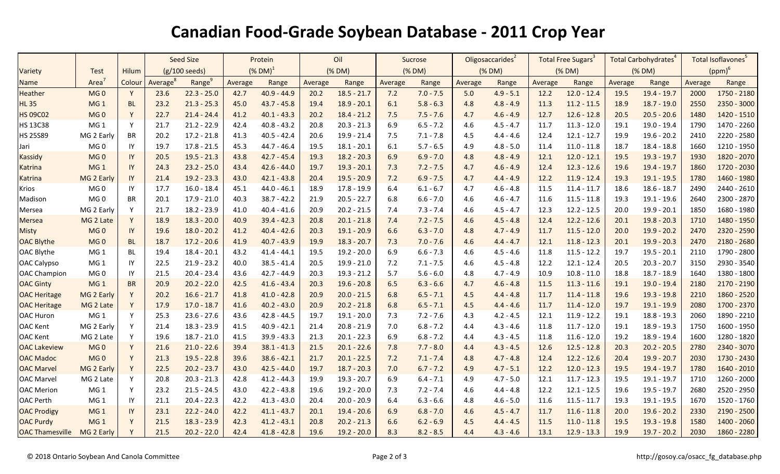## **Canadian Food-Grade Soybean Database - 2011 Crop Year**

|                        |                 |              | <b>Seed Size</b>     |                    | Protein                |               | Oil     |               | Sucrose |             | Oligosaccarides <sup>2</sup> |             | Total Free Sugars <sup>3</sup> |               | Total Carbohydrates <sup>4</sup> |               | Total Isoflavones <sup>5</sup> |             |
|------------------------|-----------------|--------------|----------------------|--------------------|------------------------|---------------|---------|---------------|---------|-------------|------------------------------|-------------|--------------------------------|---------------|----------------------------------|---------------|--------------------------------|-------------|
| Variety                | <b>Test</b>     | <b>Hilum</b> |                      | (g/100 seeds)      | $(\%$ DM) <sup>1</sup> |               | (% DM)  |               |         | (% DM)      | (% DM)                       |             | (% DM)                         |               | (% DM)                           |               | $(ppm)^6$                      |             |
| <b>Name</b>            | Area            | Colour       | Average <sup>8</sup> | Range <sup>9</sup> | Average                | Range         | Average | Range         | Average | Range       | Average                      | Range       | Average                        | Range         | Average                          | Range         | Average                        | Range       |
| <b>Heather</b>         | MG <sub>0</sub> | Y            | 23.6                 | $22.3 - 25.0$      | 42.7                   | $40.9 - 44.9$ | 20.2    | $18.5 - 21.7$ | 7.2     | $7.0 - 7.5$ | 5.0                          | $4.9 - 5.1$ | 12.2                           | $12.0 - 12.4$ | 19.5                             | $19.4 - 19.7$ | 2000                           | 1750 - 2180 |
| <b>HL35</b>            | MG <sub>1</sub> | <b>BL</b>    | 23.2                 | $21.3 - 25.3$      | 45.0                   | $43.7 - 45.8$ | 19.4    | $18.9 - 20.1$ | 6.1     | $5.8 - 6.3$ | 4.8                          | $4.8 - 4.9$ | 11.3                           | $11.2 - 11.5$ | 18.9                             | $18.7 - 19.0$ | 2550                           | 2350 - 3000 |
| <b>HS 09C02</b>        | MG <sub>0</sub> | Y            | 22.7                 | $21.4 - 24.4$      | 41.2                   | $40.1 - 43.3$ | 20.2    | $18.4 - 21.2$ | 7.5     | $7.5 - 7.6$ | 4.7                          | $4.6 - 4.9$ | 12.7                           | $12.6 - 12.8$ | 20.5                             | $20.5 - 20.6$ | 1480                           | 1420 - 1510 |
| <b>HS 13C38</b>        | MG <sub>1</sub> | Y            | 21.7                 | $21.2 - 22.9$      | 42.4                   | $40.8 - 43.2$ | 20.8    | $20.3 - 21.3$ | 6.9     | $6.5 - 7.2$ | 4.6                          | $4.5 - 4.7$ | 11.7                           | $11.3 - 12.0$ | 19.1                             | 19.0 - 19.4   | 1790                           | 1470 - 2260 |
| <b>HS 25S89</b>        | MG 2 Early      | <b>BR</b>    | 20.2                 | $17.2 - 21.8$      | 41.3                   | $40.5 - 42.4$ | 20.6    | 19.9 - 21.4   | 7.5     | $7.1 - 7.8$ | 4.5                          | $4.4 - 4.6$ | 12.4                           | $12.1 - 12.7$ | 19.9                             | $19.6 - 20.2$ | 2410                           | 2220 - 2580 |
| Jari                   | MG <sub>0</sub> | IY           | 19.7                 | $17.8 - 21.5$      | 45.3                   | $44.7 - 46.4$ | 19.5    | $18.1 - 20.1$ | 6.1     | $5.7 - 6.5$ | 4.9                          | $4.8 - 5.0$ | 11.4                           | $11.0 - 11.8$ | 18.7                             | $18.4 - 18.8$ | 1660                           | 1210 - 1950 |
| <b>Kassidy</b>         | MG <sub>0</sub> | IY           | 20.5                 | $19.5 - 21.3$      | 43.8                   | $42.7 - 45.4$ | 19.3    | $18.2 - 20.3$ | 6.9     | $6.9 - 7.0$ | 4.8                          | $4.8 - 4.9$ | 12.1                           | $12.0 - 12.1$ | 19.5                             | $19.3 - 19.7$ | 1930                           | 1820 - 2070 |
| <b>Katrina</b>         | MG <sub>1</sub> | IY           | 24.3                 | $23.2 - 25.0$      | 43.4                   | $42.6 - 44.0$ | 19.7    | $19.3 - 20.1$ | 7.3     | $7.2 - 7.5$ | 4.7                          | $4.6 - 4.9$ | 12.4                           | $12.3 - 12.6$ | 19.6                             | $19.4 - 19.7$ | 1860                           | 1720 - 2030 |
| <b>Katrina</b>         | MG 2 Early      | IY           | 21.4                 | $19.2 - 23.3$      | 43.0                   | $42.1 - 43.8$ | 20.4    | $19.5 - 20.9$ | 7.2     | $6.9 - 7.5$ | 4.7                          | $4.4 - 4.9$ | 12.2                           | $11.9 - 12.4$ | 19.3                             | $19.1 - 19.5$ | 1780                           | 1460 - 1980 |
| Krios                  | MG <sub>0</sub> | IY           | 17.7                 | $16.0 - 18.4$      | 45.1                   | $44.0 - 46.1$ | 18.9    | $17.8 - 19.9$ | 6.4     | $6.1 - 6.7$ | 4.7                          | $4.6 - 4.8$ | 11.5                           | $11.4 - 11.7$ | 18.6                             | $18.6 - 18.7$ | 2490                           | 2440 - 2610 |
| Madison                | MG <sub>0</sub> | <b>BR</b>    | 20.1                 | $17.9 - 21.0$      | 40.3                   | $38.7 - 42.2$ | 21.9    | $20.5 - 22.7$ | 6.8     | $6.6 - 7.0$ | 4.6                          | $4.6 - 4.7$ | 11.6                           | $11.5 - 11.8$ | 19.3                             | $19.1 - 19.6$ | 2640                           | 2300 - 2870 |
| Mersea                 | MG 2 Early      | Y            | 21.7                 | 18.2 - 23.9        | 41.0                   | $40.4 - 41.6$ | 20.9    | $20.2 - 21.5$ | 7.4     | $7.3 - 7.4$ | 4.6                          | $4.5 - 4.7$ | 12.3                           | $12.2 - 12.5$ | 20.0                             | $19.9 - 20.1$ | 1850                           | 1680 - 1980 |
| <b>Mersea</b>          | MG 2 Late       | Y            | 18.9                 | $18.3 - 20.0$      | 40.9                   | $39.4 - 42.3$ | 20.8    | $20.1 - 21.8$ | 7.4     | $7.2 - 7.5$ | 4.6                          | $4.5 - 4.8$ | 12.4                           | $12.2 - 12.6$ | 20.1                             | $19.8 - 20.3$ | 1710                           | 1480 - 1950 |
| <b>Misty</b>           | MG <sub>0</sub> | IY           | 19.6                 | $18.0 - 20.2$      | 41.2                   | $40.4 - 42.6$ | 20.3    | $19.1 - 20.9$ | 6.6     | $6.3 - 7.0$ | 4.8                          | $4.7 - 4.9$ | 11.7                           | $11.5 - 12.0$ | 20.0                             | $19.9 - 20.2$ | 2470                           | 2320 - 2590 |
| <b>OAC Blythe</b>      | MG <sub>0</sub> | <b>BL</b>    | 18.7                 | $17.2 - 20.6$      | 41.9                   | $40.7 - 43.9$ | 19.9    | $18.3 - 20.7$ | 7.3     | $7.0 - 7.6$ | 4.6                          | $4.4 - 4.7$ | 12.1                           | $11.8 - 12.3$ | 20.1                             | $19.9 - 20.3$ | 2470                           | 2180 - 2680 |
| OAC Blythe             | MG <sub>1</sub> | BL           | 19.4                 | $18.4 - 20.1$      | 43.2                   | $41.4 - 44.1$ | 19.5    | $19.2 - 20.0$ | 6.9     | $6.6 - 7.3$ | 4.6                          | $4.5 - 4.6$ | 11.8                           | $11.5 - 12.2$ | 19.7                             | $19.5 - 20.1$ | 2110                           | 1790 - 2800 |
| <b>OAC Calypso</b>     | MG <sub>1</sub> | IY           | 22.5                 | $21.9 - 23.2$      | 40.0                   | $38.5 - 41.4$ | 20.5    | $19.9 - 21.0$ | 7.2     | $7.1 - 7.5$ | 4.6                          | $4.5 - 4.8$ | 12.2                           | $12.1 - 12.4$ | 20.5                             | $20.3 - 20.7$ | 3150                           | 2930 - 3540 |
| <b>OAC Champion</b>    | MG <sub>0</sub> | IY           | 21.5                 | $20.4 - 23.4$      | 43.6                   | $42.7 - 44.9$ | 20.3    | $19.3 - 21.2$ | 5.7     | $5.6 - 6.0$ | 4.8                          | $4.7 - 4.9$ | 10.9                           | $10.8 - 11.0$ | 18.8                             | $18.7 - 18.9$ | 1640                           | 1380 - 1800 |
| <b>OAC Ginty</b>       | MG <sub>1</sub> | <b>BR</b>    | 20.9                 | $20.2 - 22.0$      | 42.5                   | $41.6 - 43.4$ | 20.3    | $19.6 - 20.8$ | 6.5     | $6.3 - 6.6$ | 4.7                          | $4.6 - 4.8$ | 11.5                           | $11.3 - 11.6$ | 19.1                             | $19.0 - 19.4$ | 2180                           | 2170 - 2190 |
| <b>OAC Heritage</b>    | MG 2 Early      | Y            | 20.2                 | $16.6 - 21.7$      | 41.8                   | $41.0 - 42.8$ | 20.9    | $20.0 - 21.5$ | 6.8     | $6.5 - 7.1$ | 4.5                          | $4.4 - 4.8$ | 11.7                           | $11.4 - 11.8$ | 19.6                             | $19.3 - 19.8$ | 2210                           | 1860 - 2520 |
| <b>OAC Heritage</b>    | MG 2 Late       | Y            | 17.9                 | $17.0 - 18.7$      | 41.6                   | $40.2 - 43.0$ | 20.9    | $20.2 - 21.8$ | 6.8     | $6.5 - 7.1$ | 4.5                          | $4.4 - 4.6$ | 11.7                           | $11.4 - 12.0$ | 19.7                             | $19.1 - 19.9$ | 2080                           | 1700 - 2370 |
| OAC Huron              | MG <sub>1</sub> | Y            | 25.3                 | $23.6 - 27.6$      | 43.6                   | $42.8 - 44.5$ | 19.7    | $19.1 - 20.0$ | 7.3     | $7.2 - 7.6$ | 4.3                          | $4.2 - 4.5$ | 12.1                           | $11.9 - 12.2$ | 19.1                             | $18.8 - 19.3$ | 2060                           | 1890 - 2210 |
| <b>OAC Kent</b>        | MG 2 Early      | Y            | 21.4                 | $18.3 - 23.9$      | 41.5                   | $40.9 - 42.1$ | 21.4    | $20.8 - 21.9$ | 7.0     | $6.8 - 7.2$ | 4.4                          | $4.3 - 4.6$ | 11.8                           | $11.7 - 12.0$ | 19.1                             | $18.9 - 19.3$ | 1750                           | 1600 - 1950 |
| <b>OAC Kent</b>        | MG 2 Late       | Y            | 19.6                 | $18.7 - 21.0$      | 41.5                   | $39.9 - 43.3$ | 21.3    | $20.1 - 22.3$ | 6.9     | $6.8 - 7.2$ | 4.4                          | $4.3 - 4.5$ | 11.8                           | $11.6 - 12.0$ | 19.2                             | 18.9 - 19.4   | 1600                           | 1280 - 1820 |
| <b>OAC Lakeview</b>    | MG <sub>0</sub> | Y            | 21.6                 | $21.0 - 22.6$      | 39.4                   | $38.1 - 41.3$ | 21.5    | $20.1 - 22.6$ | 7.8     | $7.7 - 8.0$ | 4.4                          | $4.3 - 4.5$ | 12.6                           | $12.5 - 12.8$ | 20.3                             | $20.2 - 20.5$ | 2780                           | 2340 - 3070 |
| <b>OAC Madoc</b>       | MG <sub>0</sub> | Y            | 21.3                 | $19.5 - 22.8$      | 39.6                   | $38.6 - 42.1$ | 21.7    | $20.1 - 22.5$ | 7.2     | $7.1 - 7.4$ | 4.8                          | $4.7 - 4.8$ | 12.4                           | $12.2 - 12.6$ | 20.4                             | $19.9 - 20.7$ | 2030                           | 1730 - 2430 |
| <b>OAC Marvel</b>      | MG 2 Early      | Y            | 22.5                 | $20.2 - 23.7$      | 43.0                   | $42.5 - 44.0$ | 19.7    | $18.7 - 20.3$ | 7.0     | $6.7 - 7.2$ | 4.9                          | $4.7 - 5.1$ | 12.2                           | $12.0 - 12.3$ | 19.5                             | $19.4 - 19.7$ | 1780                           | 1640 - 2010 |
| <b>OAC Marvel</b>      | MG 2 Late       | Y            | 20.8                 | $20.3 - 21.3$      | 42.8                   | $41.2 - 44.3$ | 19.9    | $19.3 - 20.7$ | 6.9     | $6.4 - 7.1$ | 4.9                          | $4.7 - 5.0$ | 12.1                           | $11.7 - 12.3$ | 19.5                             | $19.1 - 19.7$ | 1710                           | 1260 - 2000 |
| <b>OAC</b> Merion      | MG <sub>1</sub> | Y            | 23.2                 | $21.5 - 24.5$      | 43.0                   | $42.2 - 43.8$ | 19.6    | $19.2 - 20.0$ | 7.3     | $7.2 - 7.4$ | 4.6                          | $4.4 - 4.8$ | 12.2                           | $12.1 - 12.5$ | 19.6                             | $19.5 - 19.7$ | 2680                           | 2520 - 2950 |
| <b>OAC Perth</b>       | MG <sub>1</sub> | IY           | 21.1                 | $20.4 - 22.3$      | 42.2                   | $41.3 - 43.0$ | 20.4    | $20.0 - 20.9$ | 6.4     | $6.3 - 6.6$ | 4.8                          | $4.6 - 5.0$ | 11.6                           | $11.5 - 11.7$ | 19.3                             | $19.1 - 19.5$ | 1670                           | 1520 - 1760 |
| <b>OAC Prodigy</b>     | MG <sub>1</sub> | IY           | 23.1                 | $22.2 - 24.0$      | 42.2                   | $41.1 - 43.7$ | 20.1    | $19.4 - 20.6$ | 6.9     | $6.8 - 7.0$ | 4.6                          | $4.5 - 4.7$ | 11.7                           | $11.6 - 11.8$ | 20.0                             | $19.6 - 20.2$ | 2330                           | 2190 - 2500 |
| <b>OAC Purdy</b>       | MG <sub>1</sub> | Y            | 21.5                 | $18.3 - 23.9$      | 42.3                   | $41.2 - 43.1$ | 20.8    | $20.2 - 21.3$ | 6.6     | $6.2 - 6.9$ | 4.5                          | $4.4 - 4.5$ | 11.5                           | $11.0 - 11.8$ | 19.5                             | $19.3 - 19.8$ | 1580                           | 1400 - 2060 |
| <b>OAC Thamesville</b> | MG 2 Early      |              | 21.5                 | $20.2 - 22.0$      | 42.4                   | $41.8 - 42.8$ | 19.6    | $19.2 - 20.0$ | 8.3     | $8.2 - 8.5$ | 4.4                          | $4.3 - 4.6$ | 13.1                           | $12.9 - 13.3$ | 19.9                             | $19.7 - 20.2$ | 2030                           | 1860 - 2280 |